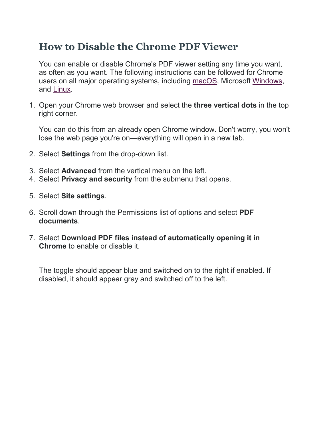## **How to Disable the Chrome PDF Viewer**

You can enable or disable Chrome's PDF viewer setting any time you want, as often as you want. The following instructions can be followed for Chrome users on all major operating systems, including [macOS,](https://www.lifewire.com/what-is-macos-4691239) Microsoft [Windows,](https://www.lifewire.com/brief-history-of-microsoft-windows-3507078) and [Linux.](https://www.lifewire.com/beginners-guide-to-linux-4090233)

1. Open your Chrome web browser and select the **three vertical dots** in the top right corner.

You can do this from an already open Chrome window. Don't worry, you won't lose the web page you're on—everything will open in a new tab.

- 2. Select **Settings** from the drop-down list.
- 3. Select **Advanced** from the vertical menu on the left.
- 4. Select **Privacy and security** from the submenu that opens.
- 5. Select **Site settings**.
- 6. Scroll down through the Permissions list of options and select **PDF documents**.
- 7. Select **Download PDF files instead of automatically opening it in Chrome** to enable or disable it.

The toggle should appear blue and switched on to the right if enabled. If disabled, it should appear gray and switched off to the left.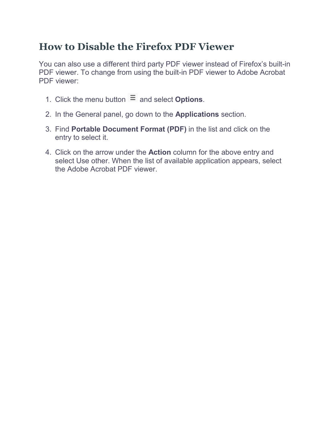## **How to Disable the Firefox PDF Viewer**

You can also use a different third party PDF viewer instead of Firefox's built-in PDF viewer. To change from using the built-in PDF viewer to Adobe Acrobat PDF viewer:

- 1. Click the menu button  $\equiv$  and select **Options**.
- 2. In the General panel, go down to the **Applications** section.
- 3. Find **Portable Document Format (PDF)** in the list and click on the entry to select it.
- 4. Click on the arrow under the **Action** column for the above entry and select Use other. When the list of available application appears, select the Adobe Acrobat PDF viewer.